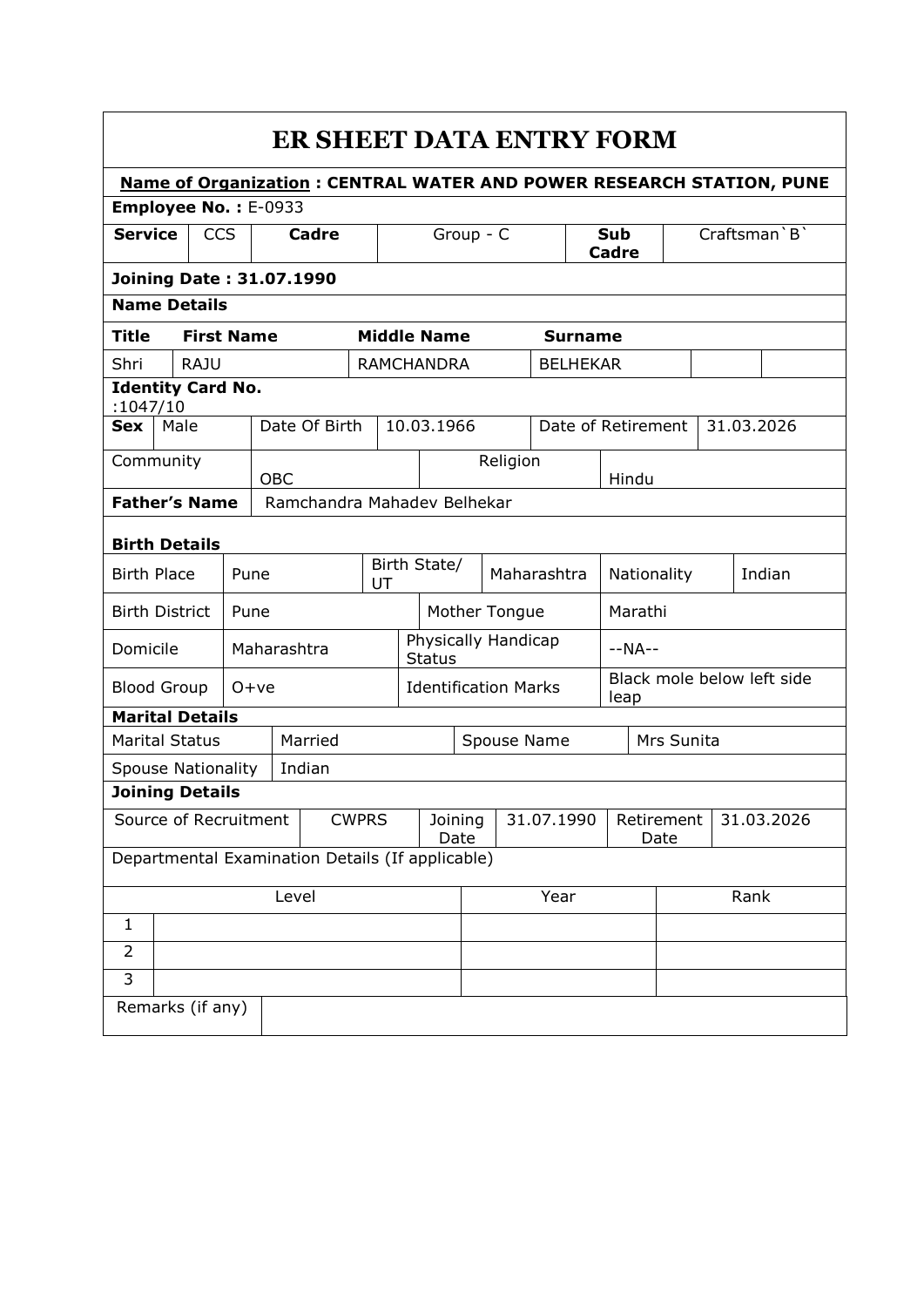|                                                     |                  |                        |                   |                    |                                                  |                     |                                      |                    |             |                | ER SHEET DATA ENTRY FORM                                                    |                                    |                    |        |  |            |  |  |
|-----------------------------------------------------|------------------|------------------------|-------------------|--------------------|--------------------------------------------------|---------------------|--------------------------------------|--------------------|-------------|----------------|-----------------------------------------------------------------------------|------------------------------------|--------------------|--------|--|------------|--|--|
| Employee No.: E-0933                                |                  |                        |                   |                    |                                                  |                     |                                      |                    |             |                | <b>Name of Organization: CENTRAL WATER AND POWER RESEARCH STATION, PUNE</b> |                                    |                    |        |  |            |  |  |
| <b>Service</b><br><b>CCS</b><br>Cadre               |                  | Group - $\overline{C}$ |                   |                    |                                                  | <b>Sub</b><br>Cadre |                                      |                    |             | Craftsman `B ` |                                                                             |                                    |                    |        |  |            |  |  |
| <b>Joining Date: 31.07.1990</b>                     |                  |                        |                   |                    |                                                  |                     |                                      |                    |             |                |                                                                             |                                    |                    |        |  |            |  |  |
| <b>Name Details</b>                                 |                  |                        |                   |                    |                                                  |                     |                                      |                    |             |                |                                                                             |                                    |                    |        |  |            |  |  |
| <b>Title</b>                                        |                  |                        | <b>First Name</b> |                    |                                                  |                     |                                      | <b>Middle Name</b> |             |                | <b>Surname</b>                                                              |                                    |                    |        |  |            |  |  |
| Shri                                                |                  | <b>RAJU</b>            |                   |                    |                                                  |                     |                                      | <b>RAMCHANDRA</b>  |             |                | <b>BELHEKAR</b>                                                             |                                    |                    |        |  |            |  |  |
| <b>Identity Card No.</b><br>:1047/10                |                  |                        |                   |                    |                                                  |                     |                                      |                    |             |                |                                                                             |                                    |                    |        |  |            |  |  |
| Sex                                                 | Male             |                        |                   |                    | Date Of Birth                                    |                     |                                      | 10.03.1966         |             |                |                                                                             |                                    | Date of Retirement |        |  | 31.03.2026 |  |  |
| Community                                           |                  |                        |                   | <b>OBC</b>         |                                                  |                     |                                      |                    |             | Religion       |                                                                             |                                    | Hindu              |        |  |            |  |  |
| <b>Father's Name</b>                                |                  |                        |                   |                    | Ramchandra Mahadev Belhekar                      |                     |                                      |                    |             |                |                                                                             |                                    |                    |        |  |            |  |  |
|                                                     |                  |                        |                   |                    |                                                  |                     |                                      |                    |             |                |                                                                             |                                    |                    |        |  |            |  |  |
| <b>Birth Details</b><br><b>Birth Place</b><br>Pune  |                  |                        |                   | Birth State/<br>UT |                                                  |                     |                                      |                    | Maharashtra |                | Nationality                                                                 |                                    |                    | Indian |  |            |  |  |
| <b>Birth District</b>                               |                  |                        | Pune              |                    |                                                  |                     | Mother Tongue                        |                    |             |                |                                                                             | Marathi                            |                    |        |  |            |  |  |
| Domicile                                            |                  |                        | Maharashtra       |                    |                                                  |                     | Physically Handicap<br><b>Status</b> |                    |             |                | $-NA--$                                                                     |                                    |                    |        |  |            |  |  |
| <b>Blood Group</b>                                  |                  |                        | $O+ve$            |                    |                                                  |                     | <b>Identification Marks</b>          |                    |             |                |                                                                             | Black mole below left side<br>leap |                    |        |  |            |  |  |
| <b>Marital Details</b>                              |                  |                        |                   |                    |                                                  |                     |                                      |                    |             |                |                                                                             |                                    |                    |        |  |            |  |  |
| <b>Marital Status</b>                               |                  |                        |                   |                    | Married                                          |                     | Spouse Name                          |                    |             |                |                                                                             | Mrs Sunita                         |                    |        |  |            |  |  |
| <b>Spouse Nationality</b><br><b>Joining Details</b> |                  |                        |                   |                    | Indian                                           |                     |                                      |                    |             |                |                                                                             |                                    |                    |        |  |            |  |  |
| Source of Recruitment                               |                  |                        |                   |                    |                                                  | <b>CWPRS</b>        |                                      | Joining            |             |                | 31.07.1990                                                                  |                                    | Retirement         |        |  | 31.03.2026 |  |  |
|                                                     |                  |                        |                   |                    |                                                  |                     |                                      |                    | Date        |                |                                                                             |                                    | Date               |        |  |            |  |  |
|                                                     |                  |                        |                   |                    | Departmental Examination Details (If applicable) |                     |                                      |                    |             |                |                                                                             |                                    |                    |        |  |            |  |  |
| Level                                               |                  |                        |                   |                    |                                                  |                     | Year                                 |                    |             |                | Rank                                                                        |                                    |                    |        |  |            |  |  |
| $\mathbf{1}$                                        |                  |                        |                   |                    |                                                  |                     |                                      |                    |             |                |                                                                             |                                    |                    |        |  |            |  |  |
| $\overline{2}$                                      |                  |                        |                   |                    |                                                  |                     |                                      |                    |             |                |                                                                             |                                    |                    |        |  |            |  |  |
| 3                                                   |                  |                        |                   |                    |                                                  |                     |                                      |                    |             |                |                                                                             |                                    |                    |        |  |            |  |  |
|                                                     | Remarks (if any) |                        |                   |                    |                                                  |                     |                                      |                    |             |                |                                                                             |                                    |                    |        |  |            |  |  |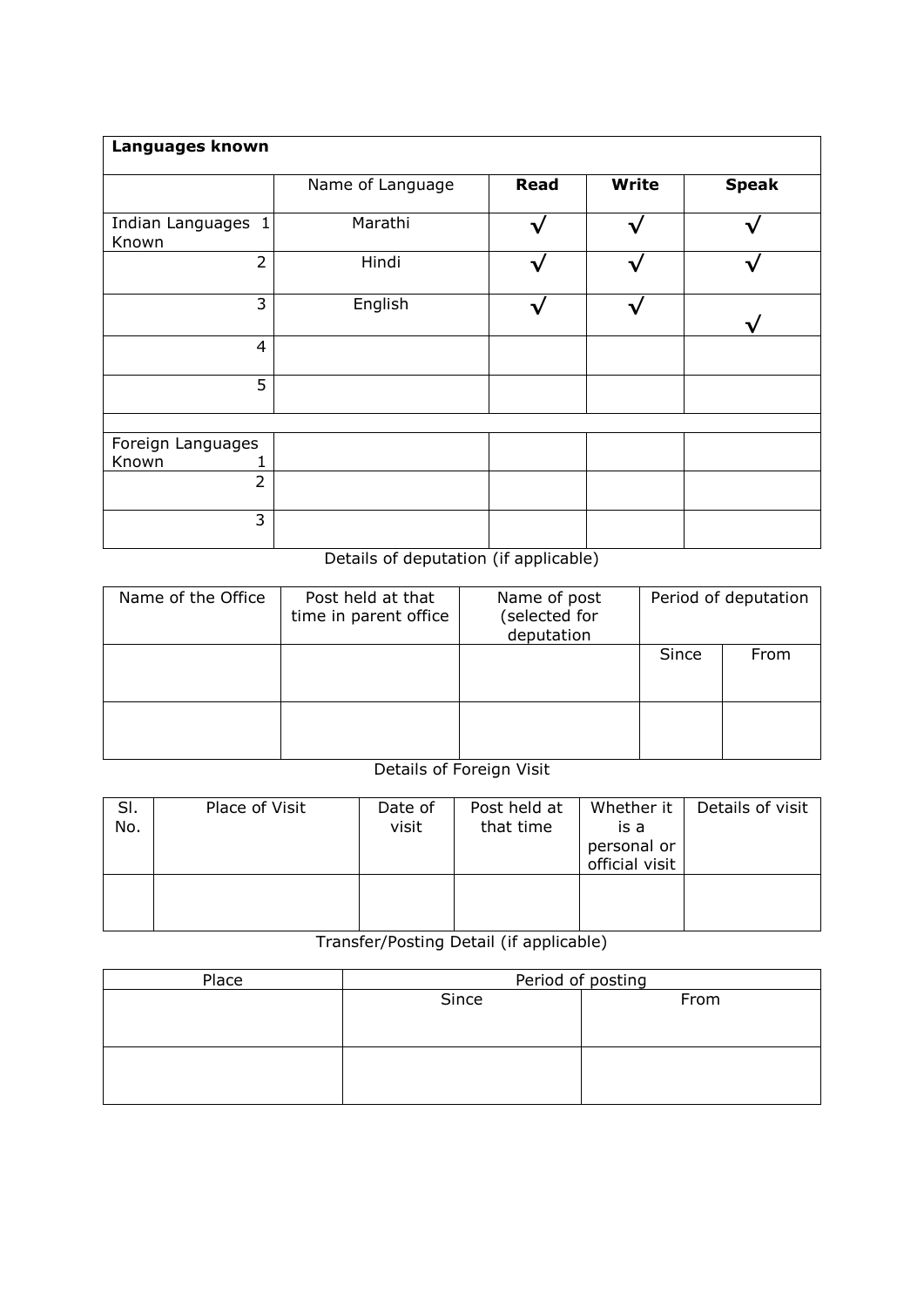| Languages known             |                  |             |       |              |  |  |  |  |  |  |
|-----------------------------|------------------|-------------|-------|--------------|--|--|--|--|--|--|
|                             | Name of Language | <b>Read</b> | Write | <b>Speak</b> |  |  |  |  |  |  |
| Indian Languages 1<br>Known | Marathi          |             |       |              |  |  |  |  |  |  |
| $\overline{2}$              | Hindi            |             |       |              |  |  |  |  |  |  |
| 3                           | English          |             |       |              |  |  |  |  |  |  |
| $\overline{4}$              |                  |             |       |              |  |  |  |  |  |  |
| 5                           |                  |             |       |              |  |  |  |  |  |  |
|                             |                  |             |       |              |  |  |  |  |  |  |
| Foreign Languages           |                  |             |       |              |  |  |  |  |  |  |
| Known                       |                  |             |       |              |  |  |  |  |  |  |
| $\overline{2}$              |                  |             |       |              |  |  |  |  |  |  |
| 3                           |                  |             |       |              |  |  |  |  |  |  |

## Details of deputation (if applicable)

| Name of the Office | Post held at that<br>time in parent office | Name of post<br>(selected for<br>deputation | Period of deputation |      |  |  |
|--------------------|--------------------------------------------|---------------------------------------------|----------------------|------|--|--|
|                    |                                            |                                             | Since                | From |  |  |
|                    |                                            |                                             |                      |      |  |  |

## Details of Foreign Visit

| SI.<br>No. | Place of Visit | Date of<br>visit | Post held at<br>that time | Whether it  <br>is a<br>personal or<br>official visit | Details of visit |
|------------|----------------|------------------|---------------------------|-------------------------------------------------------|------------------|
|            |                |                  |                           |                                                       |                  |

## Transfer/Posting Detail (if applicable)

| Place | Period of posting |      |  |  |  |  |  |  |
|-------|-------------------|------|--|--|--|--|--|--|
|       | Since             | From |  |  |  |  |  |  |
|       |                   |      |  |  |  |  |  |  |
|       |                   |      |  |  |  |  |  |  |
|       |                   |      |  |  |  |  |  |  |
|       |                   |      |  |  |  |  |  |  |
|       |                   |      |  |  |  |  |  |  |